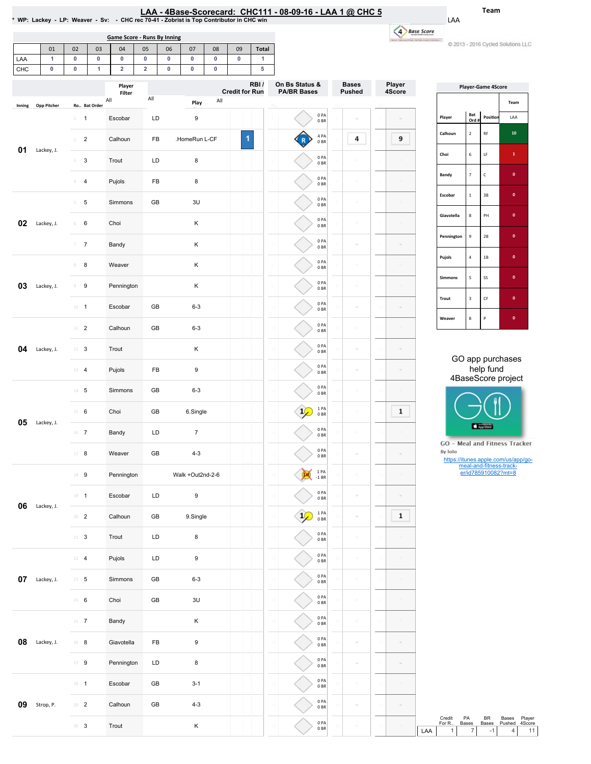### LAA 1 @ CHC 5

7

0PA 0BR

1

Bases Pushed

ċ

 $\overline{\mathbf{4}}$ 

 $\equiv$ 

 $\overline{\phantom{a}}$ 

 $\equiv$ 

 $\bar{\varepsilon}$ 

 $\equiv$ 

 $\overline{\phantom{a}}$ 

Ro..

Player 4Score

ċ

 $\boldsymbol{9}$ 

ċ

 $\equiv$ 

 $\bar{\phantom{a}}$ 

4 Base Score

10

11

12

13

2 |

3

4

5

6

7

8 |

9

10

11

12

13

0PA 0BR

0PA 0BR

0PA 0BR

0PA 0BR

0PA 0BR

0PA 0BR

8

9

10

11

12

13

Team

C 2013 - 2016 Cycled Solutions LLC

LAA

|        |                                                                                         |                       |                       |                                    |                |              |              |              |                       |              | LAA - 4Base-Scorecard: CHC111 - 08-09-16 - LA |                        |
|--------|-----------------------------------------------------------------------------------------|-----------------------|-----------------------|------------------------------------|----------------|--------------|--------------|--------------|-----------------------|--------------|-----------------------------------------------|------------------------|
|        | * WP: Lackey - LP: Weaver - Sv: - CHC rec 70-41 - Zobrist is Top Contributor in CHC win |                       |                       |                                    |                |              |              |              |                       |              |                                               |                        |
|        |                                                                                         |                       |                       |                                    |                |              |              |              |                       |              |                                               |                        |
|        |                                                                                         |                       |                       | <b>Game Score - Runs By Inning</b> |                |              |              |              |                       |              |                                               |                        |
|        | 01                                                                                      | 02                    | 03                    | 04                                 | 05             | 06           | 07           | 08           | 09                    | <b>Total</b> |                                               |                        |
| LAA    | 1                                                                                       | $\mathbf{0}$          | 0                     | $\mathbf{0}$                       | $\mathbf{0}$   | $\mathbf{0}$ | $\mathbf{0}$ | $\mathbf{0}$ | $\mathbf{0}$          | 1            |                                               |                        |
| CHC    | $\mathbf 0$                                                                             | $\mathbf 0$           | 1                     | $\overline{2}$                     | $\overline{2}$ | $\bf{0}$     | $\mathbf{0}$ | $\mathbf 0$  |                       | 5            |                                               |                        |
|        |                                                                                         |                       |                       | Player<br>Filter                   |                |              |              |              | <b>Credit for Run</b> | RBI/         | On Bs Status &<br><b>PA/BR Bases</b>          |                        |
| Inning | Opp Pitcher                                                                             |                       | All<br>Ro., Bat Order |                                    | All            |              | Play         | All          |                       |              | Ro.                                           |                        |
| 01     |                                                                                         | $1 -$<br>$\mathbf{1}$ |                       | Escobar                            | LD             |              | 9            |              |                       |              |                                               | 0PA<br>0 <sub>BR</sub> |
|        |                                                                                         | 2<br>$\mathfrak{I}$   |                       | Calhoun                            | FB             |              | HomeRun L-CF |              | 1                     |              |                                               | 4PA<br>0 <sub>BR</sub> |
|        |                                                                                         | 3<br>3                |                       | Trout                              | LD             |              | 8            |              |                       |              |                                               | 0PA<br>0 <sub>BR</sub> |
|        | Lackey, J.                                                                              | $\overline{4}$<br>4   |                       | Pujols                             | <b>FB</b>      |              | 8            |              |                       |              |                                               | 0PA<br>0 <sub>BR</sub> |
|        |                                                                                         | 5<br>5                |                       | Simmons                            | <b>GB</b>      |              | 3U           |              |                       |              |                                               | 0PA<br>0 <sub>BR</sub> |
| 02     | Lackey, J.                                                                              | 6<br>6                |                       | Choi                               |                |              | K            |              |                       |              |                                               | 0PA<br>0 <sub>BR</sub> |

7 7 Bandy K

8 8 Weaver K

9 9 Pennington K

10 1 Escobar GB 6-3

11 2 Calhoun GB 6-3

12 **3** Trout K

13 4 Pujols FB 9

**03** Lackey, J.

04 Lackey, J.

|                |                | <b>Player-Game 4Score</b> |              |
|----------------|----------------|---------------------------|--------------|
|                |                |                           | Team         |
| Player         | Bat<br>$Ord#$  | Position                  | LAA          |
| Calhoun        | $\mathbf 2$    | <b>RF</b>                 | 10           |
| Choi           | 6              | LF                        | $\mathbf{1}$ |
| <b>Bandy</b>   | $\overline{7}$ | C                         | $\mathbf{0}$ |
| Escobar        | $\mathbf{1}$   | 3B                        | $\mathbf{0}$ |
| Giavotella     | 8              | PH                        | $\mathbf{0}$ |
| Pennington     | 9              | 2B                        | $\mathbf{0}$ |
| Pujols         | $\overline{4}$ | 1B                        | $\mathbf{o}$ |
| <b>Simmons</b> | 5              | SS                        | $\mathbf{o}$ |
| Trout          | 3              | CF                        | $\mathbf{0}$ |
| Weaver         | 8              | P                         | $\mathbf{0}$ |

#### GO app purchases help fund 4BaseScore project

|                  | $14$ – $\bf 5$ | Simmons    | GB         | $6 - 3$          |  | 0 PA<br>0BR                              |          |              |                                                                                                                                                                        |
|------------------|----------------|------------|------------|------------------|--|------------------------------------------|----------|--------------|------------------------------------------------------------------------------------------------------------------------------------------------------------------------|
| Lackey, J.       | $15 \t 6$      | Choi       | GB         | 6.Single         |  | 1 PA<br>$\frac{1}{2}$<br>0 <sub>BR</sub> | $\equiv$ | $\mathbf{1}$ |                                                                                                                                                                        |
| 05               | $16$ 7         | Bandy      | LD         | $\overline{7}$   |  | 0PA<br>0BR                               | $\sim$   | $\equiv$     | App Store                                                                                                                                                              |
|                  | $17 - 8$       | Weaver     | GB         | $4 - 3$          |  | 0PA<br>0BR                               | $\sim$   | $\equiv$     | <b>GO</b> - Meal and Fitness Tracker<br>By Iolo<br>https://itunes.apple.com/us/app/go-                                                                                 |
|                  | 18 9           | Pennington |            | Walk +Out2nd-2-6 |  | 1 PA<br>1st<br>$-1$ BR                   | $\sim$   | $\equiv$     | meal-and-fitness-track-<br>er/id785910082?mt=8                                                                                                                         |
|                  | $19 - 1$       | Escobar    | LD         | 9                |  | 0PA<br>0BR                               | Ġ,       | $\equiv$     |                                                                                                                                                                        |
| 06<br>Lackey, J. | $20 - 2$       | Calhoun    | ${\sf GB}$ | 9.Single         |  | 1 PA<br>$\frac{1}{2}$<br>0 <sub>BR</sub> | $\equiv$ | $\mathbf{1}$ |                                                                                                                                                                        |
|                  | $21 - 3$       | Trout      | LD         | 8                |  | 0PA<br>0BR                               | $\equiv$ | $\equiv$     |                                                                                                                                                                        |
|                  | $22 - 4$       | Pujols     | LD         | 9                |  | 0PA<br>0BR                               | $\equiv$ | $\equiv$     |                                                                                                                                                                        |
| 07<br>Lackey, J. | $23 - 5$       | Simmons    | GB         | $6 - 3$          |  | 0PA<br>0BR                               | $\equiv$ | $\equiv$     |                                                                                                                                                                        |
|                  | 24 6           | Choi       | GB         | 3U               |  | 0PA<br>0BR                               | $\equiv$ | $\equiv$     |                                                                                                                                                                        |
|                  | $25 \t 7$      | Bandy      |            | Κ                |  | 0PA<br>0BR                               | $\equiv$ | $\equiv$     |                                                                                                                                                                        |
| 08<br>Lackey, J. | $26 - 8$       | Giavotella | ${\sf FB}$ | 9                |  | 0PA<br>0BR                               | $\equiv$ | $\equiv$     |                                                                                                                                                                        |
|                  | $27 - 9$       | Pennington | LD         | 8                |  | 0PA<br>0BR                               | $\equiv$ | $\equiv$     |                                                                                                                                                                        |
|                  | $28 - 1$       | Escobar    | GB         | $3 - 1$          |  | 0PA<br>0BR                               | $\equiv$ | $\equiv$     |                                                                                                                                                                        |
| 09<br>Strop, P.  | $29 - 2$       | Calhoun    | GB         | $4 - 3$          |  | 0PA<br>0BR                               | $\sim$   | $\equiv$     |                                                                                                                                                                        |
|                  | $30-3$         | Trout      |            | Κ                |  | 0PA<br>0BR                               | $\equiv$ |              | Player<br>4Score<br>Credit<br>PA<br><b>BR</b><br>Bases<br>For R<br>Pushed<br>Bases<br>Bases<br>$\overline{7}$<br>11<br>LAA<br>$-1$<br>$\overline{4}$<br>$\overline{1}$ |
|                  |                |            |            |                  |  |                                          |          |              |                                                                                                                                                                        |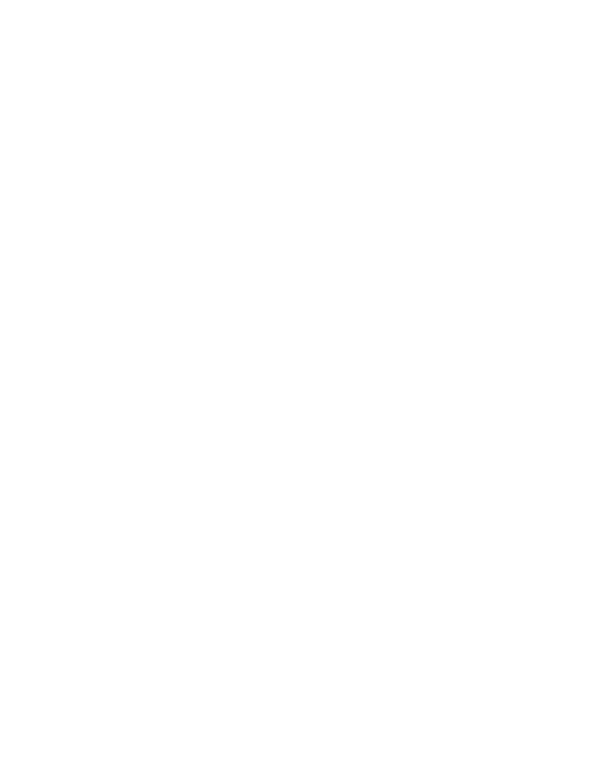|                     |                  |           |               | <u>' u ^ } Œr Zuv• C/vv]vP</u>           |                      |                  |                              |                      |                |              |                                                |                  |                 |                      |                        |                                                       |                           |
|---------------------|------------------|-----------|---------------|------------------------------------------|----------------------|------------------|------------------------------|----------------------|----------------|--------------|------------------------------------------------|------------------|-----------------|----------------------|------------------------|-------------------------------------------------------|---------------------------|
|                     | ìí               | ìî        | ìΪ            | ìð                                       | ìñ                   | ìò               | ìó                           | ìô                   | ìõ             | d}šo         |                                                |                  |                 |                      |                        |                                                       |                           |
| $/$ \$\$<br>$8 + 8$ |                  |           |               |                                          |                      |                  |                              |                      |                |              |                                                |                  |                 |                      |                        |                                                       |                           |
|                     |                  |           |               | Wo Ç Œ<br>&]oš Œ<br>$\pmb{\circledcirc}$ | $\pmb{\circledcirc}$ |                  |                              | $\pmb{\circledcirc}$ | & UHGLWIRU5 XQ | $5\%$        | 2 Q%V 6 VDWXV<br>3\$ %5 %DVHV                  | %DVHV<br>3 XVKHG | 300 HU<br>6FRUH |                      |                        | WoÇŒE u ð^}Œ                                          |                           |
|                     | /vv]vP K‰W)\$Z0E | í.        | Z} XX ŠKŒ C   | (VFREDU                                  | $\prime$             |                  | WoÇ                          |                      |                |              | $\begin{array}{cc} 1 & W \\ 1 & Z \end{array}$ |                  |                 | Wo Ç Œ               | š<br>KŒ                | ۷ <b>y•</b> ]Ÿ}                                       | d u<br>$\,$               |
|                     |                  | $\hat{1}$ |               | & DOBRXQ                                 |                      | ) %              | $+$ RP H <sub>5</sub> XQ/ &) |                      |                |              | ðW<br>i Z                                      |                  |                 | αZ} μν               | î                      | Z&                                                    | $\mathbf{ii}$             |
|                     | $>$ 1 QUX        | ï.        |               | 7 URXW                                   | $\prime$             |                  |                              |                      |                |              | ì W<br>$i$ Z                                   |                  |                 | Z}]                  | ò                      | $\mathcal{S}$                                         | $\mathbb{L}$              |
|                     |                  | ð         |               | 3 XNAO                                   |                      | ) %              |                              |                      |                |              | i W<br>i Z                                     |                  |                 | νÇ                   | ó                      |                                                       | $\mathbf{1}$              |
|                     |                  | ñ         |               | 6 IP P RQV                               |                      | $*$ %            | 8                            |                      |                |              | i W<br>$i$ Z                                   |                  |                 | $\bullet$ } $\alpha$ | $\mathfrak{f}$         | Ï.                                                    | $\mathbf{L}$              |
|                     | $> 1$ QUX        | ò         |               | & KRL                                    |                      |                  | $\cdot$                      |                      |                |              | ì W<br>$i$ Z                                   |                  |                 | ']À}šoo              | ô                      | W                                                     | $\mathbf{u}$              |
|                     |                  | ó         |               | %DQG                                     |                      |                  | $\ddot{\phantom{a}}$         |                      |                |              | i W<br>ìZ                                      |                  |                 | Wvv]vP§v             | õ                      | î                                                     | $\mathbf{1}$              |
|                     |                  | ô         |               | : HDYHU                                  |                      | $\cdot$          |                              |                      |                |              | i W<br>i Z                                     |                  |                 | Vyli} o              | ð                      | $\mathbf{I}$                                          | $\mathbf{1}$              |
| $>$   $Q$ JX<br>õ   |                  |           | 3 HOOLOU VRIO |                                          |                      | $\cdot$          |                              |                      |                | i W<br>$i$ Z |                                                |                  | ^]u u } v•      | ñ                    | $\mathsf{v}\mathsf{v}$ | $\mathbf{1}$                                          |                           |
|                     |                  | f ì       |               | (VFREDU                                  |                      | $*$ %            |                              |                      |                |              | ìW<br>$i$ Z                                    |                  | -               | dOEµš                | $\ddot{\rm I}$         | &                                                     | $\mathbf{i}$              |
|                     | íí.              |           | & DØRXQ       |                                          | $*$ %                |                  |                              |                      |                | i W<br>$i$ Z |                                                |                  | t À Œ           | ô                    | ${\sf W}$              | $\mathbf{H}$                                          |                           |
|                     | $>$ 1 QUX        | íî        |               | 7 URXW                                   |                      |                  | $\cdot$                      |                      |                |              | i W<br>$i$ Z                                   |                  |                 |                      |                        |                                                       | * 2 DSS SXUFKDVHV         |
|                     |                  | íï        |               | 3 XNAO                                   |                      | ) %              |                              |                      |                |              | i W<br>$i$ Z                                   |                  |                 |                      |                        | KHOS IXOG                                             | <b>YDVH6 FRUH SURWIFW</b> |
|                     |                  | íð        |               | 6 IP P RQV                               |                      | $*$ %            |                              |                      |                |              | i W<br>$i$ Z                                   |                  |                 |                      |                        |                                                       |                           |
|                     | $>$ $\vdash$ QUX | íñ        |               | & KRL                                    |                      | $*$ %            | 6 QJ 0H                      |                      |                |              | i W<br>i Z                                     |                  |                 |                      |                        |                                                       |                           |
|                     |                  | íò        |               | %DQG                                     |                      | $\prime$ .       |                              |                      |                |              | i W<br>$i$ Z                                   |                  |                 |                      |                        |                                                       |                           |
|                     |                  | íó        |               | : HDYHU                                  |                      | $*$ %            |                              |                      |                |              | i W<br>i Z                                     |                  |                 |                      |                        | KWOSV LWACH VDSSOBIFRP XVDSSJR<br>PHDCDCG LLWAH VWDFN |                           |
|                     |                  | íô        |               | 3 HOOLOU VRO.                            |                      | $:$ DON $2$ XWQG |                              |                      |                |              | íW<br>rí Z                                     |                  |                 | HUB                  | "PW                    |                                                       |                           |
|                     | $>$ 1 $Q$ J $X$  | íõ        |               | (VFREDU                                  | $\prime$ '           |                  |                              |                      |                |              | i W<br>$i$ Z                                   |                  |                 |                      |                        |                                                       |                           |
|                     |                  | $\hat{1}$ |               | & DØRXQ                                  |                      | $*$ %            | $61QJ$ $\Theta$              |                      |                |              | i W<br>i Z                                     |                  |                 |                      |                        |                                                       |                           |
|                     |                  | îí        |               | 7 URXW                                   | $\prime$ .           |                  |                              |                      |                |              | i W<br>i Z                                     |                  |                 |                      |                        |                                                       |                           |
|                     |                  | îî        |               | 3 XIROY                                  | $\prime$ .           |                  |                              |                      |                |              | ì W<br>i Z                                     |                  |                 |                      |                        |                                                       |                           |
|                     | $>$ 1 $Q$ J $X$  | $-11$     |               | 6 IP P RQV                               |                      | $*$ %            |                              |                      |                |              | i W<br>i Z                                     |                  |                 |                      |                        |                                                       |                           |
|                     |                  | îŏ        |               | & KRL                                    |                      | $*$ %            | 8                            |                      |                |              | i W<br>i Z                                     |                  |                 |                      |                        |                                                       |                           |
|                     |                  | îñ        |               | %DQG                                     |                      |                  | $\bullet$                    |                      |                |              | ì W<br>i Z                                     |                  |                 |                      |                        |                                                       |                           |
|                     | $>$ 1 QUX        | îò        |               | * IDYRIMOD                               |                      | ) %              |                              |                      |                |              | i W<br>$i$ Z                                   |                  |                 |                      |                        |                                                       |                           |
|                     |                  | îó        |               | 3 HOOLOU VRIQ                            | $\prime$ .           |                  |                              |                      |                |              | i W<br>i Z                                     |                  |                 |                      |                        |                                                       |                           |
|                     |                  | îô        |               | (VFREDU                                  |                      | $*$ %            |                              |                      |                |              | i W<br>i Z                                     |                  |                 |                      |                        |                                                       |                           |
|                     | ^šQP%WX          | ÎÕ        |               | & DØRXQ                                  |                      | $*$ %            |                              |                      |                |              | i W<br>$i$ Z                                   |                  |                 | &UHGLW 3\$           |                        | %5                                                    | %DMHV 300 HU              |
|                     |                  | Tì.       |               | 7 URXW                                   |                      |                  | $\epsilon$                   |                      |                |              | $\begin{array}{c} i \ W \\ i \ Z \end{array}$  |                  |                 | ) RU5<br>$1$ \$\$    | %DVHV                  | %DMHV                                                 | 3XWHG 6FRUH               |

 $1$  \$\$ #  $8+8$ 

 $\frac{\sqrt{$$} \text{}}{2}$  : 3 / DFNH /3 : HDYHU 6Y & + & UF = REULWEY 7RS & ROWLEXWRUILQ & + & ZIQ

 $d$  u

 $\overline{a}$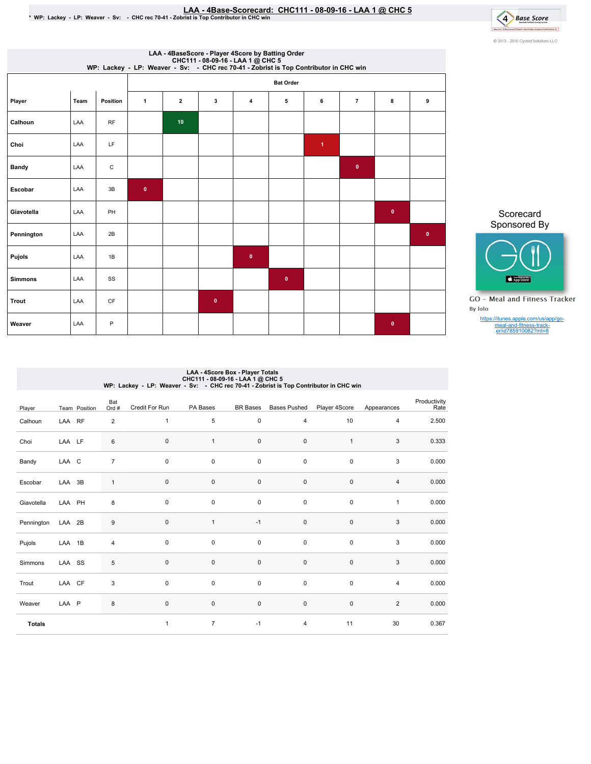## <u>LAA - 4Base-Scorecard: CHC111 - 08-09-16 - LAA 1 @ CHC 5 يست CHC terrectores sv:</u> - CHCrec 70-41 - Zobrist is Top Contributor in CHC win



|                | LAA - 4BaseScore - Player 4Score by Batting Order<br>CHC111 - 08-09-16 - LAA 1 @ CHC 5<br>WP: Lackey - LP: Weaver - Sv: - CHC rec 70-41 - Zobrist is Top Contributor in CHC win |             |              |                  |           |           |           |                      |                |           |           |  |  |  |
|----------------|---------------------------------------------------------------------------------------------------------------------------------------------------------------------------------|-------------|--------------|------------------|-----------|-----------|-----------|----------------------|----------------|-----------|-----------|--|--|--|
|                |                                                                                                                                                                                 |             |              | <b>Bat Order</b> |           |           |           |                      |                |           |           |  |  |  |
| Player         | Team                                                                                                                                                                            | Position    | $\mathbf{1}$ | $\mathbf{2}$     | 3         | 4         | 5         | 6                    | $\overline{7}$ | 8         | 9         |  |  |  |
| Calhoun        | LAA                                                                                                                                                                             | <b>RF</b>   |              | 10               |           |           |           |                      |                |           |           |  |  |  |
| Choi           | LAA                                                                                                                                                                             | LF          |              |                  |           |           |           | $\blacktriangleleft$ |                |           |           |  |  |  |
| <b>Bandy</b>   | LAA                                                                                                                                                                             | $\mathsf C$ |              |                  |           |           |           |                      | $\pmb{0}$      |           |           |  |  |  |
| Escobar        | LAA                                                                                                                                                                             | 3B          | $\pmb{0}$    |                  |           |           |           |                      |                |           |           |  |  |  |
| Giavotella     | LAA                                                                                                                                                                             | PH          |              |                  |           |           |           |                      |                | $\pmb{0}$ |           |  |  |  |
| Pennington     | LAA                                                                                                                                                                             | 2B          |              |                  |           |           |           |                      |                |           | $\pmb{0}$ |  |  |  |
| Pujols         | LAA                                                                                                                                                                             | 1B          |              |                  |           | $\pmb{0}$ |           |                      |                |           |           |  |  |  |
| <b>Simmons</b> | LAA                                                                                                                                                                             | SS          |              |                  |           |           | $\pmb{0}$ |                      |                |           |           |  |  |  |
| <b>Trout</b>   | LAA                                                                                                                                                                             | <b>CF</b>   |              |                  | $\pmb{0}$ |           |           |                      |                |           |           |  |  |  |
| Weaver         | LAA                                                                                                                                                                             | P           |              |                  |           |           |           |                      |                | $\pmb{0}$ |           |  |  |  |





**GO** - Meal and Fitness Tracker By Iolo

https://itunes.apple.com/us/app/go-meal-and-fitness-track-er/id785910082?mt=8

# LAA - 4Score Box - Player Totals<br>CHC111 - 08-09-16 - CHC 10-09<br>WP: Lackey - LP: Weaver - Sv: - CHC rec 70-41 - Zobrist is Top Contributor in CHC win

| Player        |        | Team Position | Bat<br>Ord #     | Credit For Run | PA Bases       | <b>BR</b> Bases | <b>Bases Pushed</b> | Player 4Score | Appearances    | Productivity<br>Rate |
|---------------|--------|---------------|------------------|----------------|----------------|-----------------|---------------------|---------------|----------------|----------------------|
| Calhoun       | LAA RF |               | $\overline{2}$   | 1              | 5              | $\mathsf 0$     | $\overline{4}$      | 10            | 4              | 2.500                |
| Choi          | LAA LF |               | $\,6\,$          | $\pmb{0}$      | $\mathbf{1}$   | $\pmb{0}$       | $\pmb{0}$           | 1             | 3              | 0.333                |
| Bandy         | LAA C  |               | $\overline{7}$   | $\pmb{0}$      | $\mathbf 0$    | $\pmb{0}$       | $\pmb{0}$           | $\pmb{0}$     | 3              | 0.000                |
| Escobar       | LAA 3B |               | $\mathbf{1}$     | $\pmb{0}$      | $\mathbf 0$    | $\pmb{0}$       | $\pmb{0}$           | $\pmb{0}$     | $\overline{4}$ | 0.000                |
| Giavotella    | LAA PH |               | 8                | $\pmb{0}$      | $\mathbf 0$    | $\pmb{0}$       | $\pmb{0}$           | $\pmb{0}$     | $\mathbf{1}$   | 0.000                |
| Pennington    | LAA 2B |               | $\boldsymbol{9}$ | $\pmb{0}$      | $\mathbf{1}$   | $-1$            | $\pmb{0}$           | $\mathbf 0$   | 3              | 0.000                |
| Pujols        | LAA 1B |               | 4                | $\pmb{0}$      | $\mathbf 0$    | 0               | $\pmb{0}$           | $\mathsf 0$   | 3              | 0.000                |
| Simmons       | LAA SS |               | 5                | $\pmb{0}$      | $\mathbf 0$    | $\pmb{0}$       | $\pmb{0}$           | $\mathbf 0$   | 3              | 0.000                |
| Trout         | LAA CF |               | 3                | $\pmb{0}$      | $\mathbf 0$    | $\pmb{0}$       | $\pmb{0}$           | $\pmb{0}$     | $\overline{4}$ | 0.000                |
| Weaver        | LAA P  |               | $\bf 8$          | $\pmb{0}$      | $\mathsf 0$    | $\mathsf 0$     | $\pmb{0}$           | $\mathbf 0$   | $\overline{2}$ | 0.000                |
| <b>Totals</b> |        |               |                  | $\mathbf{1}$   | $\overline{7}$ | $-1$            | 4                   | 11            | 30             | 0.367                |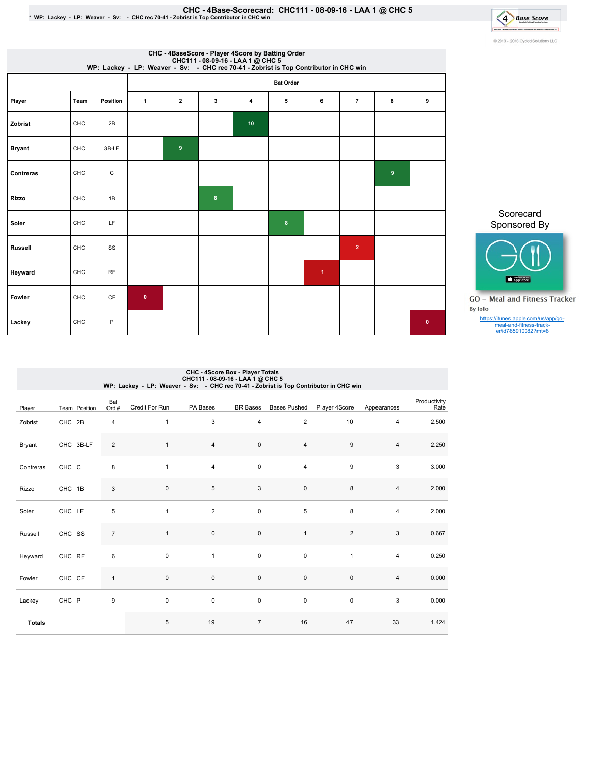### EHC - 4Base-Scorecard: CHC111 - 08-09-16 - LAA 1 @ CHC 5 يو CHC - 4Base-Scorecard: CHC111 - 08-09-16 - LAA 1 @ CHC 5<br>\* WP: Lackey - LP: Weaver - Sv: - CHC rec 70-41 - Zobrist is Top Contributor in CHC win

4 Base Score .<br>Nash fashiola superi Funktions of ...  $\overline{\phantom{a}}$ C 2013 - 2016 Cycled Solutions LLC

| CHC - 4BaseScore - Player 4Score by Batting Order<br>CHC111 - 08-09-16 - LAA 1 @ CHC 5<br>WP: Lackey - LP: Weaver - Sv: - CHC rec 70-41 - Zobrist is Top Contributor in CHC win |      |                 |              |                         |   |    |                  |                      |                |   |           |  |  |
|---------------------------------------------------------------------------------------------------------------------------------------------------------------------------------|------|-----------------|--------------|-------------------------|---|----|------------------|----------------------|----------------|---|-----------|--|--|
| <b>Bat Order</b>                                                                                                                                                                |      |                 |              |                         |   |    |                  |                      |                |   |           |  |  |
| Player                                                                                                                                                                          | Team | <b>Position</b> | $\mathbf{1}$ | $\overline{\mathbf{2}}$ | 3 | 4  | 5                | 6                    | $\overline{7}$ | 8 | 9         |  |  |
| Zobrist                                                                                                                                                                         | CHC  | 2B              |              |                         |   | 10 |                  |                      |                |   |           |  |  |
| <b>Bryant</b>                                                                                                                                                                   | CHC  | 3B-LF           |              | 9                       |   |    |                  |                      |                |   |           |  |  |
| Contreras                                                                                                                                                                       | CHC  | $\mathsf C$     |              |                         |   |    |                  |                      |                | 9 |           |  |  |
| <b>Rizzo</b>                                                                                                                                                                    | CHC  | 1B              |              |                         | 8 |    |                  |                      |                |   |           |  |  |
| Soler                                                                                                                                                                           | CHC  | LF              |              |                         |   |    | $\boldsymbol{8}$ |                      |                |   |           |  |  |
| <b>Russell</b>                                                                                                                                                                  | CHC  | SS              |              |                         |   |    |                  |                      | $\mathbf 2$    |   |           |  |  |
| Heyward                                                                                                                                                                         | CHC  | <b>RF</b>       |              |                         |   |    |                  | $\blacktriangleleft$ |                |   |           |  |  |
| Fowler                                                                                                                                                                          | CHC  | CF              | $\mathbf{0}$ |                         |   |    |                  |                      |                |   |           |  |  |
| Lackey                                                                                                                                                                          | CHC  | P               |              |                         |   |    |                  |                      |                |   | $\pmb{0}$ |  |  |





**GO** - Meal and Fitness Tracker By Iolo



# CHC - 4Score Box - Player Totals<br>CHC111 - 08-09-16 - CHC - 2009<br>WP: Lackey - LP: Weaver - Sv: - CHC rec 70-41 - Zobrist is Top Contributor in CHC win

| Player        |        | Team Position | Bat<br>Ord #   | Credit For Run | PA Bases       | <b>BR</b> Bases | <b>Bases Pushed</b>     | Player 4Score  | Appearances    | Productivity<br>Rate |
|---------------|--------|---------------|----------------|----------------|----------------|-----------------|-------------------------|----------------|----------------|----------------------|
| Zobrist       | CHC 2B |               | 4              | $\mathbf{1}$   | 3              | $\overline{4}$  | 2                       | 10             | $\overline{4}$ | 2.500                |
| Bryant        |        | CHC 3B-LF     | $\overline{2}$ | $\mathbf{1}$   | $\sqrt{4}$     | $\mathsf 0$     | $\overline{\mathbf{4}}$ | 9              | $\overline{4}$ | 2.250                |
| Contreras     | CHC C  |               | 8              | $\mathbf{1}$   | $\overline{4}$ | 0               | $\overline{4}$          | 9              | 3              | 3.000                |
| Rizzo         | CHC 1B |               | $\sqrt{3}$     | $\mathsf 0$    | $\,$ 5 $\,$    | 3               | $\pmb{0}$               | 8              | $\overline{4}$ | 2.000                |
| Soler         | CHC LF |               | $\sqrt{5}$     | $\mathbf{1}$   | $\overline{2}$ | 0               | 5                       | 8              | $\overline{4}$ | 2.000                |
| Russell       | CHC SS |               | $\overline{7}$ | $\mathbf{1}$   | $\pmb{0}$      | $\pmb{0}$       | $\mathbf{1}$            | $\overline{2}$ | $\mathbf{3}$   | 0.667                |
| Heyward       | CHC RF |               | 6              | $\mathbf 0$    | $\mathbf{1}$   | $\mathsf 0$     | $\pmb{0}$               | $\mathbf{1}$   | $\overline{4}$ | 0.250                |
| Fowler        | CHC CF |               | $\mathbf{1}$   | $\mathsf 0$    | $\pmb{0}$      | $\pmb{0}$       | $\pmb{0}$               | $\pmb{0}$      | $\overline{4}$ | 0.000                |
| Lackey        | CHC P  |               | 9              | $\mathbf 0$    | $\pmb{0}$      | 0               | 0                       | $\pmb{0}$      | 3              | 0.000                |
| <b>Totals</b> |        |               |                | 5              | 19             | $\overline{7}$  | 16                      | 47             | 33             | 1.424                |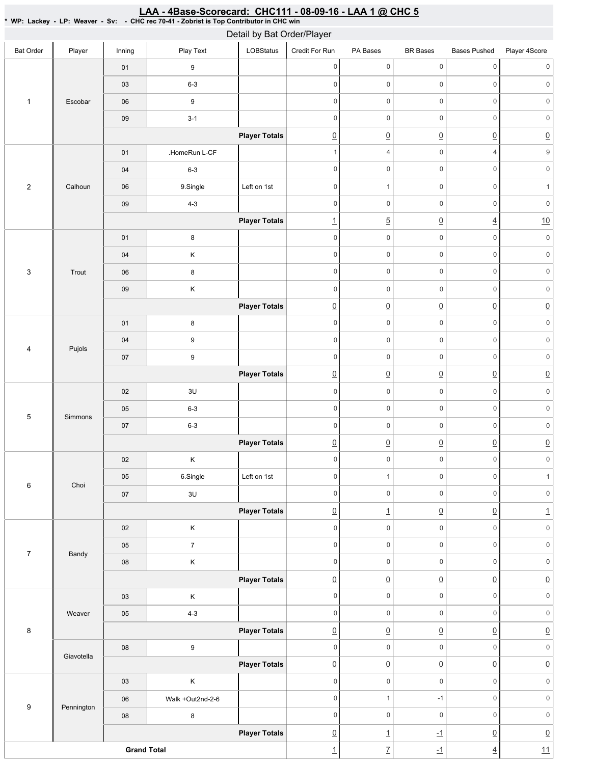|                  | $\mathbf{v}$ r. Lavney - Lr. $\mathbf{v}$ eaver - Ov. |                    | - City fee form - copitation top continuation in City Will | Detail by Bat Order/Player |                     |                     |                     |                     |                     |
|------------------|-------------------------------------------------------|--------------------|------------------------------------------------------------|----------------------------|---------------------|---------------------|---------------------|---------------------|---------------------|
| <b>Bat Order</b> | Player                                                | Inning             | Play Text                                                  | LOBStatus                  | Credit For Run      | PA Bases            | <b>BR</b> Bases     | <b>Bases Pushed</b> | Player 4Score       |
|                  |                                                       | 01                 | $\boldsymbol{9}$                                           |                            | $\mathsf{O}\xspace$ | $\mathsf{O}\xspace$ | $\mathsf{O}\xspace$ | $\mathsf{O}\xspace$ | $\mathsf{O}\xspace$ |
|                  |                                                       | 03                 | $6 - 3$                                                    |                            | $\mathbf 0$         | $\mathsf{O}\xspace$ | $\mathsf{O}\xspace$ | $\mathsf{O}\xspace$ | $\mathsf{O}\xspace$ |
| $\mathbf{1}$     | Escobar                                               | ${\bf 06}$         | $\boldsymbol{9}$                                           |                            | $\mathbf 0$         | $\mathsf{O}\xspace$ | $\mathsf{O}\xspace$ | $\mathsf{O}\xspace$ | $\mathsf{O}$        |
|                  |                                                       | $09\,$             | $3-1$                                                      |                            | $\mathbf 0$         | $\mathsf{O}\xspace$ | $\mathsf{O}\xspace$ | $\mathsf{O}\xspace$ | $\mathsf{O}\xspace$ |
|                  |                                                       |                    |                                                            | <b>Player Totals</b>       | $\underline{0}$     | $\underline{0}$     | $\overline{0}$      | $\underline{0}$     | $\underline{0}$     |
|                  |                                                       | 01                 | .HomeRun L-CF                                              |                            | $\mathbf{1}$        | $\overline{4}$      | $\mathsf{O}\xspace$ | $\overline{4}$      | $\boldsymbol{9}$    |
|                  |                                                       | 04                 | $6 - 3$                                                    |                            | $\mathbf 0$         | $\mathsf{O}\xspace$ | $\mathsf{O}\xspace$ | $\mathsf{O}\xspace$ | $\mathbf 0$         |
| $\overline{c}$   | Calhoun                                               | ${\bf 06}$         | 9.Single                                                   | Left on 1st                | $\mathbb O$         | $\mathbf{1}$        | $\mathsf{O}\xspace$ | $\mathsf{O}\xspace$ | 1                   |
|                  |                                                       | $09\,$             | $4 - 3$                                                    |                            | $\mathbf 0$         | $\mathsf{O}\xspace$ | $\mathsf{O}\xspace$ | $\mathsf{O}\xspace$ | $\mathbf 0$         |
|                  |                                                       |                    |                                                            | <b>Player Totals</b>       | $\overline{1}$      | $\overline{5}$      | $\underline{0}$     | $\underline{4}$     | 10                  |
|                  |                                                       | 01                 | $\bf8$                                                     |                            | $\mathsf 0$         | $\mathsf{O}\xspace$ | $\mathsf{O}\xspace$ | $\mathsf{O}\xspace$ | $\mathsf{O}\xspace$ |
|                  |                                                       | 04                 | $\sf K$                                                    |                            | $\mathbb O$         | $\mathsf{O}\xspace$ | $\mathsf{O}\xspace$ | $\mathsf{O}\xspace$ | $\mathsf{0}$        |
| $\mathsf 3$      | Trout                                                 | ${\bf 06}$         | $\bf 8$                                                    |                            | $\mathsf{O}\xspace$ | $\mathsf{0}$        | $\mathsf{O}\xspace$ | $\mathsf{O}\xspace$ | $\mathsf{O}\xspace$ |
|                  |                                                       | 09                 | $\sf K$                                                    |                            | $\mathbf 0$         | $\mathsf{O}\xspace$ | $\mathsf{O}\xspace$ | $\mathsf{O}\xspace$ | $\mathsf{O}\xspace$ |
|                  |                                                       |                    |                                                            | <b>Player Totals</b>       | $\underline{0}$     | $\underline{0}$     | $\underline{0}$     | $\underline{0}$     | $\underline{0}$     |
|                  |                                                       | 01                 | $\bf 8$                                                    |                            | $\mathsf{O}\xspace$ | $\mathsf{O}\xspace$ | $\mathsf{O}\xspace$ | $\mathsf{O}\xspace$ | $\mathsf{O}\xspace$ |
| $\overline{4}$   | Pujols                                                | 04                 | $\boldsymbol{9}$                                           |                            | $\mathsf{O}\xspace$ | $\mathsf{0}$        | $\mathsf{O}\xspace$ | $\mathsf{O}\xspace$ | $\mathsf{O}\xspace$ |
|                  |                                                       | $07\,$             | $\boldsymbol{9}$                                           |                            | $\mathbf 0$         | $\mathsf{O}\xspace$ | $\mathsf{O}\xspace$ | $\mathsf{O}\xspace$ | $\mathsf{O}\xspace$ |
|                  |                                                       |                    |                                                            | <b>Player Totals</b>       | $\underline{0}$     | $\underline{0}$     | $\underline{0}$     | $\underline{0}$     | $\underline{0}$     |
| $\,$ 5 $\,$      |                                                       | $02\,$             | 3U                                                         |                            | $\mathbf 0$         | $\mathsf{O}\xspace$ | $\mathsf{O}\xspace$ | $\mathsf{O}\xspace$ | $\mathsf{O}\xspace$ |
|                  | Simmons                                               | 05                 | $6 - 3$                                                    |                            | $\mathbb O$         | $\mathsf{O}\xspace$ | $\mathsf{O}\xspace$ | $\mathsf{O}\xspace$ | $\mathsf{O}\xspace$ |
|                  |                                                       | $07\,$             | $6 - 3$                                                    |                            | $\mathbb O$         | $\mathsf{O}\xspace$ | $\mathsf{O}\xspace$ | $\mathsf{O}\xspace$ | $\mathsf{O}\xspace$ |
|                  |                                                       |                    |                                                            | <b>Player Totals</b>       | $\underline{0}$     | $\underline{0}$     | $\underline{0}$     | $\underline{0}$     | $\underline{0}$     |
|                  |                                                       | $02\,$             | $\sf K$                                                    |                            | $\overline{0}$      | $\mathsf{O}\xspace$ | 0                   | $\mathsf{O}\xspace$ | 0                   |
| $\,6\,$          | Choi                                                  | 05                 | 6.Single                                                   | Left on 1st                | $\mathsf{O}\xspace$ | $\mathbf{1}$        | $\mathbf 0$         | $\mathsf{O}$        | $\mathbf{1}$        |
|                  |                                                       | $07\,$             | $3\mathsf{U}$                                              |                            | $\mathsf 0$         | $\mathsf{O}\xspace$ | $\mathbf 0$         | $\mathsf{O}\xspace$ | $\mathsf{O}\xspace$ |
|                  |                                                       |                    |                                                            | <b>Player Totals</b>       | $\underline{0}$     | $\overline{1}$      | $\underline{0}$     | $\underline{0}$     | $\perp$             |
|                  |                                                       | $02\,$             | $\mathsf K$                                                |                            | $\mathsf 0$         | $\mathsf{O}\xspace$ | $\mathbf 0$         | $\mathsf{O}\xspace$ | $\mathsf{O}\xspace$ |
| $\overline{7}$   | Bandy                                                 | 05                 | $\overline{7}$                                             |                            | $\mathbf 0$         | $\mathsf{O}\xspace$ | $\mathsf 0$         | $\mathsf{O}\xspace$ | $\mathsf{O}\xspace$ |
|                  |                                                       | ${\bf 08}$         | $\sf K$                                                    |                            | $\mathsf 0$         | $\mathsf{O}\xspace$ | $\overline{0}$      | $\mathsf{O}\xspace$ | $\mathsf{O}\xspace$ |
|                  |                                                       |                    |                                                            | <b>Player Totals</b>       | $\underline{0}$     | $\underline{0}$     | $\underline{0}$     | $\underline{0}$     | $\underline{0}$     |
|                  |                                                       | 03                 | $\mathsf K$                                                |                            | $\mathsf 0$         | $\mathsf{O}\xspace$ | $\mathsf{O}\xspace$ | $\mathsf{O}\xspace$ | $\mathsf{O}\xspace$ |
|                  | Weaver                                                | 05                 | $4 - 3$                                                    |                            | $\mathsf{O}\xspace$ | $\mathsf{O}\xspace$ | $\mathsf{O}\xspace$ | $\mathsf{O}$        | $\mathsf{0}$        |
| 8                |                                                       |                    |                                                            | <b>Player Totals</b>       | $\underline{0}$     | $\underline{0}$     | $\underline{0}$     | $\underline{0}$     | $\underline{0}$     |
|                  | Giavotella                                            | ${\bf 08}$         | $\boldsymbol{9}$                                           |                            | $\overline{0}$      | $\mathsf{O}\xspace$ | $\mathsf{O}\xspace$ | $\mathsf{O}\xspace$ | $\mathsf{O}\xspace$ |
|                  |                                                       |                    |                                                            | <b>Player Totals</b>       | $\underline{0}$     | $\underline{0}$     | $\underline{0}$     | $\underline{0}$     | $\underline{0}$     |
|                  |                                                       | 03                 | $\mathsf K$                                                |                            | $\mathsf{O}\xspace$ | $\mathsf{O}\xspace$ | $\mathsf{O}\xspace$ | $\mathsf{O}\xspace$ | $\mathsf{O}\xspace$ |
| 9                | Pennington                                            | 06                 | Walk +Out2nd-2-6                                           |                            | $\mathsf{O}\xspace$ | $\mathbf{1}$        | $-1$                | $\mathsf{O}$        | $\mathsf{O}\xspace$ |
|                  |                                                       | 08                 | $\bf 8$                                                    |                            | $\mathbf 0$         | $\mathsf{O}\xspace$ | $\mathbf 0$         | $\mathsf{O}$        | $\mathsf{O}\xspace$ |
|                  |                                                       |                    |                                                            | <b>Player Totals</b>       | $\underline{0}$     | $\overline{1}$      | $\overline{-1}$     | $\underline{0}$     | $\underline{0}$     |
|                  |                                                       | <b>Grand Total</b> |                                                            |                            | $\overline{1}$      | $\underline{7}$     | $\overline{-1}$     | $\overline{4}$      | 11                  |

#### <u>LAA - 4Base-Scorecard: CHC111 - 08-09-16 - LAA 1 @ CHC 5</u>

\*WP:Lackey-LP:Weaver-Sv: -CHCrec70-41-ZobristisTopContributorinCHCwin

 $\mathsf{l}$